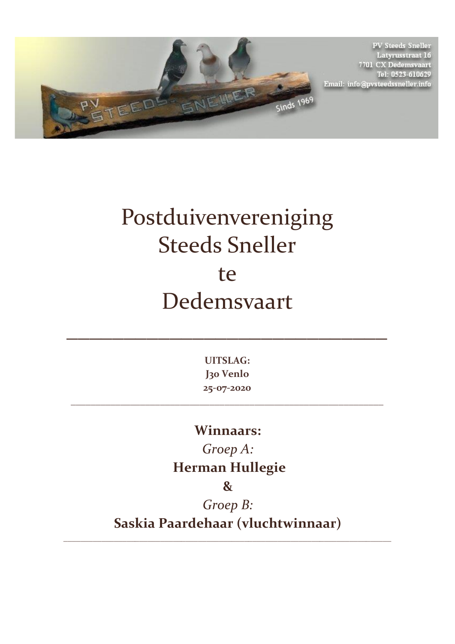

**PV Steeds Sneller** Latyrusstraat 16<br>7701 CX Dedemsvaart Tel: 0523-610629 Email: info@pvsteedssneller.info

## Postduivenvereniging Steeds Sneller te Dedemsvaart

**UITSLAG: J30 Venlo 25-07-2020**

\_\_\_\_\_\_\_\_\_\_\_\_\_\_\_\_\_\_\_\_\_\_\_\_\_\_\_\_\_\_\_\_\_\_\_\_\_\_\_\_\_\_\_\_\_\_\_\_\_\_\_\_\_\_\_\_\_\_\_\_\_\_\_

 $\mathcal{L}=\mathcal{L}^{\mathcal{L}}$  , where  $\mathcal{L}=\mathcal{L}^{\mathcal{L}}$  , where  $\mathcal{L}^{\mathcal{L}}$ 

## **Winnaars:**

*Groep A:* **Herman Hullegie**

**&** 

*Groep B:*  **Saskia Paardehaar (vluchtwinnaar)**

\_\_\_\_\_\_\_\_\_\_\_\_\_\_\_\_\_\_\_\_\_\_\_\_\_\_\_\_\_\_\_\_\_\_\_\_\_\_\_\_\_\_\_\_\_\_\_\_\_\_\_\_\_\_\_\_\_\_\_\_\_\_\_\_\_\_\_\_\_\_\_\_\_\_\_\_\_\_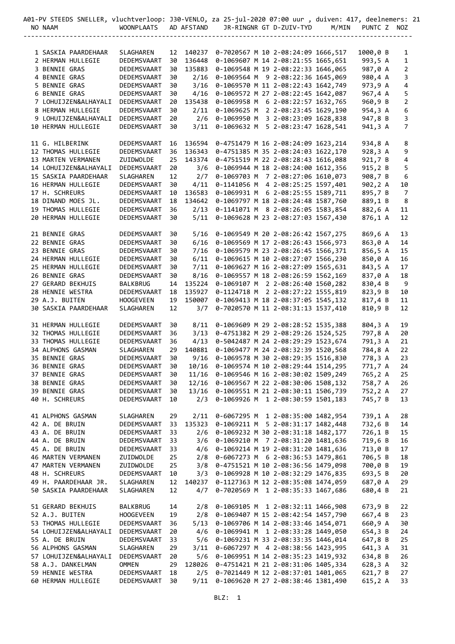| 401-PV STEEDS SNELLER, vluchtverloop: J30-VENLO, za 25-jul-2020 07:00 uur , duiven: 417, deelnemers: 21 |                   |    |            |                                               |  |                                    |       |             |                |  |
|---------------------------------------------------------------------------------------------------------|-------------------|----|------------|-----------------------------------------------|--|------------------------------------|-------|-------------|----------------|--|
| NO NAAM                                                                                                 | <b>WOONPLAATS</b> |    | AD AFSTAND |                                               |  | JR-RINGNR GT D-ZUIV-TYD            | M/MIN | PUNTC Z NOZ |                |  |
|                                                                                                         |                   |    |            |                                               |  |                                    |       |             |                |  |
|                                                                                                         |                   |    |            |                                               |  |                                    |       |             |                |  |
| 1 SASKIA PAARDEHAAR                                                                                     | SLAGHAREN         |    |            | 12 140237 0-7020567 M 10 2-08:24:09 1666,517  |  |                                    |       | 1000,0 B    | 1              |  |
| 2 HERMAN HULLEGIE                                                                                       | DEDEMSVAART       | 30 | 136448     |                                               |  | 0-1069607 M 14 2-08:21:55 1665,651 |       | 993,5 A     | 1              |  |
| 3 BENNIE GRAS                                                                                           | DEDEMSVAART       | 30 | 135883     |                                               |  | 0-1069548 M 19 2-08:22:33 1646,065 |       | 987,0 A     | 2              |  |
| 4 BENNIE GRAS                                                                                           | DEDEMSVAART       | 30 | 2/16       |                                               |  | 0-1069564 M 9 2-08:22:36 1645,069  |       | 980,4 A     | 3              |  |
| 5 BENNIE GRAS                                                                                           | DEDEMSVAART       | 30 | 3/16       |                                               |  | 0-1069570 M 11 2-08:22:43 1642,749 |       | 973,9 A     | 4              |  |
| 6 BENNIE GRAS                                                                                           | DEDEMSVAART       | 30 | 4/16       |                                               |  | 0-1069572 M 27 2-08:22:45 1642,087 |       | 967,4 A     | 5              |  |
| 7 LOHUIJZEN&ALHAYALI                                                                                    | DEDEMSVAART       | 20 | 135438     |                                               |  | 0-1069958 M 6 2-08:22:57 1632,765  |       | 960,9 B     | 2              |  |
| 8 HERMAN HULLEGIE                                                                                       | DEDEMSVAART       | 30 | 2/11       |                                               |  | 0-1069625 M 2 2-08:23:45 1629,190  |       | 954,3 A     | 6              |  |
| 9 LOHUIJZEN&ALHAYALI                                                                                    | DEDEMSVAART       | 20 | 2/6        |                                               |  | 0-1069950 M 3 2-08:23:09 1628,838  |       | 947,8 B     | 3              |  |
| 10 HERMAN HULLEGIE                                                                                      | DEDEMSVAART       | 30 | 3/11       |                                               |  | 0-1069632 M 5 2-08:23:47 1628,541  |       | 941,3 A     | 7              |  |
| 11 G. HILBERINK                                                                                         | DEDEMSVAART       | 16 | 136594     |                                               |  | 0-4751479 M 16 2-08:24:09 1623,214 |       | 934,8 A     | 8              |  |
| 12 THOMAS HULLEGIE                                                                                      | DEDEMSVAART       | 36 | 136343     |                                               |  | 0-4751385 M 35 2-08:24:03 1622,170 |       | 928,3 A     | 9              |  |
| 13 MARTEN VERMANEN                                                                                      | ZUIDWOLDE         | 25 | 143374     |                                               |  | 0-4751519 M 22 2-08:28:43 1616,088 |       | 921,7 B     | 4              |  |
| 14 LOHUIJZEN&ALHAYALI                                                                                   | DEDEMSVAART       | 20 | 3/6        |                                               |  | 0-1069944 M 18 2-08:24:00 1612,356 |       | 915,2 B     | 5              |  |
| 15 SASKIA PAARDEHAAR                                                                                    | <b>SLAGHAREN</b>  | 12 | 2/7        |                                               |  | 0-1069703 M 7 2-08:27:06 1610,073  |       | 908,7 B     | 6              |  |
| 16 HERMAN HULLEGIE                                                                                      | DEDEMSVAART       | 30 | 4/11       |                                               |  | 0-1141056 M 4 2-08:25:25 1597,401  |       | 902,2 A     | 10             |  |
| 17 H. SCHREURS                                                                                          | DEDEMSVAART       | 10 | 136583     |                                               |  | 0-1069931 M 6 2-08:25:55 1589,711  |       | 895,7 B     | $\overline{7}$ |  |
| 18 DINAND MOES JL.                                                                                      | DEDEMSVAART       | 18 | 134642     |                                               |  | 0-1069797 M 18 2-08:24:48 1587,760 |       | 889,1 B     | 8              |  |
| 19 THOMAS HULLEGIE                                                                                      | DEDEMSVAART       | 36 | 2/13       |                                               |  | 0-1141071 M 8 2-08:26:05 1583,854  |       | 882,6 A     | 11             |  |
| 20 HERMAN HULLEGIE                                                                                      | DEDEMSVAART       | 30 | 5/11       |                                               |  | 0-1069628 M 23 2-08:27:03 1567,430 |       | 876,1 A     | 12             |  |
| 21 BENNIE GRAS                                                                                          | DEDEMSVAART       | 30 | 5/16       |                                               |  | 0-1069549 M 20 2-08:26:42 1567,275 |       | 869,6 A     | 13             |  |
| 22 BENNIE GRAS                                                                                          | DEDEMSVAART       | 30 | 6/16       |                                               |  | 0-1069569 M 17 2-08:26:43 1566,973 |       | 863,0 A     | 14             |  |
| 23 BENNIE GRAS                                                                                          | DEDEMSVAART       | 30 | 7/16       |                                               |  | 0-1069579 M 23 2-08:26:45 1566,371 |       | 856,5 A     | 15             |  |
| 24 HERMAN HULLEGIE                                                                                      | DEDEMSVAART       | 30 | 6/11       |                                               |  | 0-1069615 M 10 2-08:27:07 1566,230 |       | 850,0 A     | 16             |  |
| 25 HERMAN HULLEGIE                                                                                      | DEDEMSVAART       | 30 | 7/11       |                                               |  | 0-1069627 M 16 2-08:27:09 1565,631 |       | 843,5 A     | 17             |  |
| 26 BENNIE GRAS                                                                                          | DEDEMSVAART       | 30 | 8/16       |                                               |  | 0-1069557 M 18 2-08:26:59 1562,169 |       | 837,0 A     | 18             |  |
| 27 GERARD BEKHUIS                                                                                       | <b>BALKBRUG</b>   | 14 | 135224     |                                               |  | 0-1069107 M 2 2-08:26:40 1560,282  |       | 830,4 B     | 9              |  |
| 28 HENNIE WESTRA                                                                                        | DEDEMSVAART       | 18 | 135927     |                                               |  | 0-1124718 M 2 2-08:27:22 1555,819  |       | 823,9 B     | 10             |  |
| 29 A.J. BUITEN                                                                                          | <b>HOOGEVEEN</b>  | 19 | 150007     |                                               |  | 0-1069413 M 18 2-08:37:05 1545,132 |       | 817,4 B     | 11             |  |
| 30 SASKIA PAARDEHAAR                                                                                    | SLAGHAREN         | 12 | 3/7        |                                               |  | 0-7020570 M 11 2-08:31:13 1537,410 |       | 810,9 B     | 12             |  |
| 31 HERMAN HULLEGIE                                                                                      | DEDEMSVAART       | 30 | 8/11       |                                               |  | 0-1069609 M 29 2-08:28:52 1535,388 |       | 804,3 A     | 19             |  |
| 32 THOMAS HULLEGIE                                                                                      | DEDEMSVAART       | 36 | 3/13       |                                               |  | 0-4751382 M 29 2-08:29:26 1524,525 |       | 797,8 A     | 20             |  |
| 33 THOMAS HULLEGIE                                                                                      | DEDEMSVAART       | 36 | 4/13       |                                               |  | 0-5042487 M 24 2-08:29:29 1523,674 |       | 791,3 A     | 21             |  |
| 34 ALPHONS GASMAN                                                                                       | <b>SLAGHAREN</b>  | 29 | 140881     |                                               |  | 0-1069477 M 24 2-08:32:39 1520,568 |       | 784,8 A     | 22             |  |
| 35 BENNIE GRAS                                                                                          | DEDEMSVAART       | 30 | 9/16       |                                               |  | 0-1069578 M 30 2-08:29:35 1516,830 |       | 778,3 A     | 23             |  |
| 36 BENNIE GRAS                                                                                          | DEDEMSVAART       | 30 |            | 10/16  0-1069574  M  10  2-08:29:44  1514,295 |  |                                    |       | 771,7 A     | 24             |  |
| 37 BENNIE GRAS                                                                                          | DEDEMSVAART       | 30 |            | 11/16 0-1069546 M 16 2-08:30:02 1509,249      |  |                                    |       | 765,2 A     | 25             |  |
| 38 BENNIE GRAS                                                                                          | DEDEMSVAART       | 30 |            | 12/16 0-1069567 M 22 2-08:30:06 1508,132      |  |                                    |       | 758,7 A     | 26             |  |
| 39 BENNIE GRAS                                                                                          | DEDEMSVAART       | 30 |            | 13/16  0-1069551  M  21  2-08:30:11  1506,739 |  |                                    |       | 752,2 A     | 27             |  |
| 40 H. SCHREURS                                                                                          | DEDEMSVAART       | 10 | 2/3        |                                               |  | 0-1069926 M 1 2-08:30:59 1501,183  |       | 745,7 B     | 13             |  |
| 41 ALPHONS GASMAN                                                                                       | SLAGHAREN         | 29 | 2/11       |                                               |  | 0-6067295 M 1 2-08:35:00 1482,954  |       | 739,1 A     | 28             |  |
| 42 A. DE BRUIN                                                                                          | DEDEMSVAART       | 33 | 135323     |                                               |  | 0-1069211 M 5 2-08:31:17 1482,448  |       | 732,6 B     | 14             |  |
| 43 A. DE BRUIN                                                                                          | DEDEMSVAART       | 33 | 2/6        |                                               |  | 0-1069232 M 30 2-08:31:18 1482,177 |       | 726,1 B     | 15             |  |
| 44 A. DE BRUIN                                                                                          | DEDEMSVAART       | 33 | 3/6        |                                               |  | 0-1069210 M 7 2-08:31:20 1481,636  |       | 719,6 B     | 16             |  |
| 45 A. DE BRUIN                                                                                          | DEDEMSVAART       | 33 | 4/6        |                                               |  | 0-1069214 M 19 2-08:31:20 1481,636 |       | 713,0 B     | 17             |  |
| 46 MARTEN VERMANEN                                                                                      | ZUIDWOLDE         | 25 | 2/8        | 0-6067273 M 6 2-08:36:53 1479,861             |  |                                    |       | 706,5 B     | 18             |  |
| 47 MARTEN VERMANEN                                                                                      | ZUIDWOLDE         | 25 |            | 3/8 0-4751521 M 10 2-08:36:56 1479,098        |  |                                    |       | 700,0 B     | 19             |  |
| 48 H. SCHREURS                                                                                          | DEDEMSVAART       | 10 |            | 3/3 0-1069928 M 10 2-08:32:29 1476,835        |  |                                    |       | 693,5 B     | 20             |  |
| 49 H. PAARDEHAAR JR.                                                                                    | SLAGHAREN         | 12 | 140237     |                                               |  | 0-1127363 M 12 2-08:35:08 1474,059 |       | 687,0 A     | 29             |  |
| 50 SASKIA PAARDEHAAR                                                                                    | SLAGHAREN         | 12 | 4/7        |                                               |  | 0-7020569 M 1 2-08:35:33 1467,686  |       | 680,4 B     | 21             |  |
| 51 GERARD BEKHUIS                                                                                       | BALKBRUG          | 14 |            | 2/8 0-1069105 M 1 2-08:32:11 1466,908         |  |                                    |       | 673,9 B     | 22             |  |
| 52 A.J. BUITEN                                                                                          | <b>HOOGEVEEN</b>  | 19 |            | 2/8 0-1069407 M 15 2-08:42:54 1457,790        |  |                                    |       | 667,4 B     | 23             |  |
| 53 THOMAS HULLEGIE                                                                                      | DEDEMSVAART       | 36 | 5/13       |                                               |  | 0-1069706 M 14 2-08:33:46 1454,071 |       | 660,9 A     | 30             |  |
| 54 LOHUIJZEN&ALHAYALI                                                                                   | DEDEMSVAART       | 20 | 4/6        |                                               |  | 0-1069941 M 1 2-08:33:28 1449,050  |       | 654,3 B     | 24             |  |
| 55 A. DE BRUIN                                                                                          | DEDEMSVAART       | 33 | 5/6        |                                               |  | 0-1069231 M 33 2-08:33:35 1446,014 |       | 647,8 B     | 25             |  |
| 56 ALPHONS GASMAN                                                                                       | SLAGHAREN         | 29 | 3/11       |                                               |  | 0-6067297 M 4 2-08:38:56 1423,995  |       | 641,3 A     | 31             |  |
| 57 LOHUIJZEN&ALHAYALI                                                                                   | DEDEMSVAART       | 20 | 5/6        |                                               |  | 0-1069951 M 14 2-08:35:23 1419,932 |       | 634,8 B     | 26             |  |
| 58 A.J. DANKELMAN                                                                                       | OMMEN             | 29 | 128026     |                                               |  | 0-4751421 M 21 2-08:31:06 1405,334 |       | 628,3 A     | 32             |  |
| 59 HENNIE WESTRA                                                                                        | DEDEMSVAART       | 18 | 2/5        |                                               |  | 0-7021449 M 12 2-08:37:01 1401,065 |       | 621,7 B     | 27             |  |
| 60 HERMAN HULLEGIE                                                                                      | DEDEMSVAART       | 30 | 9/11       |                                               |  | 0-1069620 M 27 2-08:38:46 1381,490 |       | 615, 2 A    | 33             |  |
|                                                                                                         |                   |    |            |                                               |  |                                    |       |             |                |  |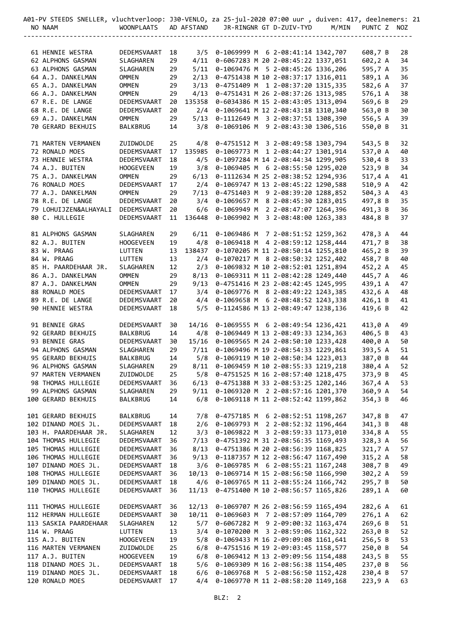| 401-PV STEEDS SNELLER, vluchtverloop: J30-VENLO, za 25-jul-2020 07:00 uur , duiven: 417, deelnemers: 21 |                             |          |            |                                                                                     |  |                                    |       |                    |          |  |
|---------------------------------------------------------------------------------------------------------|-----------------------------|----------|------------|-------------------------------------------------------------------------------------|--|------------------------------------|-------|--------------------|----------|--|
| NO NAAM                                                                                                 | <b>WOONPLAATS</b>           |          | AD AFSTAND |                                                                                     |  | JR-RINGNR GT D-ZUIV-TYD            | M/MIN | PUNTC Z NOZ        |          |  |
|                                                                                                         |                             |          |            |                                                                                     |  |                                    |       |                    |          |  |
|                                                                                                         |                             |          |            |                                                                                     |  |                                    |       |                    |          |  |
| 61 HENNIE WESTRA                                                                                        | DEDEMSVAART                 | 18       |            | 3/5 0-1069999 M 6 2-08:41:14 1342,707                                               |  |                                    |       | 608,7 B            | 28       |  |
| 62 ALPHONS GASMAN                                                                                       | SLAGHAREN                   | 29       |            | 4/11 0-6067283 M 20 2-08:45:22 1337,051                                             |  |                                    |       | 602,2 A            | 34       |  |
| 63 ALPHONS GASMAN                                                                                       | SLAGHAREN                   | 29       | 5/11       |                                                                                     |  | 0-1069476 M 5 2-08:45:26 1336,206  |       | 595,7 A            | 35       |  |
| 64 A.J. DANKELMAN                                                                                       | <b>OMMEN</b>                | 29       | 2/13       |                                                                                     |  | 0-4751438 M 10 2-08:37:17 1316,011 |       | 589,1 A            | 36       |  |
| 65 A.J. DANKELMAN                                                                                       | <b>OMMEN</b>                | 29       | 3/13       | 0-4751431 M 26 2-08:37:26 1313,985                                                  |  | 0-4751409 M 1 2-08:37:20 1315,335  |       | 582,6 A            | 37       |  |
| 66 A.J. DANKELMAN<br>67 R.E. DE LANGE                                                                   | <b>OMMEN</b>                | 29       | 4/13       |                                                                                     |  |                                    |       | 576,1 A<br>569,6 B | 38       |  |
| 68 R.E. DE LANGE                                                                                        | DEDEMSVAART                 | 20<br>20 |            | 135358 0-6034386 M 15 2-08:43:05 1313,094<br>2/4 0-1069641 M 12 2-08:43:18 1310,340 |  |                                    |       |                    | 29       |  |
| 69 A.J. DANKELMAN                                                                                       | DEDEMSVAART<br><b>OMMEN</b> | 29       | 5/13       |                                                                                     |  | 0-1112649 M 3 2-08:37:51 1308,390  |       | 563,0 B<br>556,5 A | 30<br>39 |  |
| 70 GERARD BEKHUIS                                                                                       | BALKBRUG                    | 14       | 3/8        |                                                                                     |  | 0-1069106 M 9 2-08:43:30 1306,516  |       | 550,0 B            | 31       |  |
|                                                                                                         |                             |          |            |                                                                                     |  |                                    |       |                    |          |  |
| 71 MARTEN VERMANEN                                                                                      | ZUIDWOLDE                   | 25       |            | 4/8 0-4751512 M 3 2-08:49:58 1303,794                                               |  |                                    |       | 543,5 B            | 32       |  |
| 72 RONALD MOES                                                                                          | DEDEMSVAART                 | 17       | 135985     | 0-1069773 M 1 2-08:44:27 1301,914                                                   |  |                                    |       | 537,0 A            | 40       |  |
| 73 HENNIE WESTRA                                                                                        | DEDEMSVAART                 | 18       | 4/5        |                                                                                     |  | 0-1097284 M 14 2-08:44:34 1299,905 |       | 530,4 B            | 33       |  |
| 74 A.J. BUITEN                                                                                          | <b>HOOGEVEEN</b>            | 19       | 3/8        | 0-1069405 M 6 2-08:55:50 1295,020                                                   |  |                                    |       | 523,9 B            | 34       |  |
| 75 A.J. DANKELMAN                                                                                       | <b>OMMEN</b>                | 29       | 6/13       | 0-1112634 M 25 2-08:38:52 1294,936                                                  |  |                                    |       | 517,4 A            | 41       |  |
| 76 RONALD MOES                                                                                          | DEDEMSVAART                 | 17       |            | 2/4 0-1069747 M 13 2-08:45:22 1290,588                                              |  |                                    |       | 510,9 A            | 42       |  |
| 77 A.J. DANKELMAN                                                                                       | <b>OMMEN</b>                | 29       | 7/13       |                                                                                     |  | 0-4751403 M 9 2-08:39:20 1288,852  |       | 504,3 A            | 43       |  |
| 78 R.E. DE LANGE                                                                                        | DEDEMSVAART                 | 20       | 3/4        |                                                                                     |  | 0-1069657 M 8 2-08:45:30 1283,015  |       | 497,8 B            | 35       |  |
| 79 LOHUIJZEN&ALHAYALI                                                                                   | DEDEMSVAART                 | 20       | 6/6        |                                                                                     |  | 0-1069949 M 2 2-08:47:07 1264,396  |       |                    | 36       |  |
|                                                                                                         | DEDEMSVAART                 |          |            |                                                                                     |  |                                    |       | 491,3 B            |          |  |
| 80 C. HULLEGIE                                                                                          |                             | 11       | 136448     | 0-1069902 M 3 2-08:48:00 1263,383                                                   |  |                                    |       | 484,8 B            | 37       |  |
|                                                                                                         | SLAGHAREN                   |          |            | 6/11 0-1069486 M 7 2-08:51:52 1259,362                                              |  |                                    |       |                    |          |  |
| 81 ALPHONS GASMAN                                                                                       |                             | 29       |            |                                                                                     |  |                                    |       | 478,3 A            | 44       |  |
| 82 A.J. BUITEN                                                                                          | <b>HOOGEVEEN</b>            | 19       |            | 4/8 0-1069418 M 4 2-08:59:12 1258,444                                               |  |                                    |       | 471,7 B            | 38       |  |
| 83 W. PRAAG                                                                                             | LUTTEN                      | 13       | 138437     |                                                                                     |  | 0-1070205 M 11 2-08:50:14 1255,810 |       | 465,2 B            | 39       |  |
| 84 W. PRAAG                                                                                             | LUTTEN                      | 13       |            | 2/4 0-1070217 M 8 2-08:50:32 1252,402                                               |  |                                    |       | 458,7 B            | 40       |  |
| 85 H. PAARDEHAAR JR.                                                                                    | SLAGHAREN                   | 12       | 2/3        | 0-1069832 M 10 2-08:52:01 1251,894                                                  |  |                                    |       | 452,2 A            | 45       |  |
| 86 A.J. DANKELMAN                                                                                       | <b>OMMEN</b>                | 29       | 8/13       |                                                                                     |  | 0-1069311 M 11 2-08:42:28 1249,440 |       | 445,7 A            | 46       |  |
| 87 A.J. DANKELMAN                                                                                       | <b>OMMEN</b>                | 29       | 9/13       |                                                                                     |  | 0-4751416 M 23 2-08:42:45 1245,995 |       | 439,1 A            | 47       |  |
| 88 RONALD MOES                                                                                          | DEDEMSVAART                 | 17       | 3/4        | 0-1069776 M 8 2-08:49:22 1243,385                                                   |  |                                    |       | 432,6 A            | 48       |  |
| 89 R.E. DE LANGE                                                                                        | DEDEMSVAART                 | 20       |            | 4/4 0-1069658 M 6 2-08:48:52 1243,338<br>5/5 0-1124586 M 13 2-08:49:47 1238,136     |  |                                    |       | 426,1 B            | 41       |  |
| 90 HENNIE WESTRA                                                                                        | DEDEMSVAART                 | 18       |            |                                                                                     |  |                                    |       | 419,6 B            | 42       |  |
| 91 BENNIE GRAS                                                                                          | DEDEMSVAART                 | 30       |            | 14/16  0-1069555  M  6 2-08:49:54 1236,421                                          |  |                                    |       | 413,0 A            | 49       |  |
| 92 GERARD BEKHUIS                                                                                       | BALKBRUG                    | 14       |            | 4/8 0-1069449 M 13 2-08:49:33 1234,363                                              |  |                                    |       | 406,5 B            | 43       |  |
| 93 BENNIE GRAS                                                                                          | DEDEMSVAART                 | 30       | 15/16      | 0-1069565 M 24 2-08:50:10 1233,428                                                  |  |                                    |       | 400,0 A            | 50       |  |
| 94 ALPHONS GASMAN                                                                                       | <b>SLAGHAREN</b>            | 29       | 7/11       |                                                                                     |  | 0-1069496 M 19 2-08:54:33 1229,861 |       | 393,5 A            | 51       |  |
| 95 GERARD BEKHUIS                                                                                       | BALKBRUG                    | 14       | 5/8        |                                                                                     |  | 0-1069119 M 10 2-08:50:34 1223,013 |       | 387,0 B            | 44       |  |
| 96 ALPHONS GASMAN                                                                                       | SLAGHAREN                   | 29       |            | 8/11 0-1069459 M 10 2-08:55:33 1219,218                                             |  |                                    |       | 380,4 A            | 52       |  |
| 97 MARTEN VERMANEN                                                                                      | ZUIDWOLDE                   | 25       |            | 5/8 0-4751525 M 16 2-08:57:40 1218,475                                              |  |                                    |       | 373,9 B            | 45       |  |
| 98 THOMAS HULLEGIE                                                                                      | DEDEMSVAART                 | 36       |            | 6/13 0-4751388 M 33 2-08:53:25 1202,146                                             |  |                                    |       | 367,4 A            | 53       |  |
| 99 ALPHONS GASMAN                                                                                       | SLAGHAREN                   | 29       |            | 9/11 0-1069320 M 2 2-08:57:16 1201,370                                              |  |                                    |       | 360,9 A            | 54       |  |
| 100 GERARD BEKHUIS                                                                                      | BALKBRUG                    | 14       | 6/8        |                                                                                     |  | 0-1069118 M 11 2-08:52:42 1199,862 |       | 354, 3B            | 46       |  |
|                                                                                                         |                             |          |            |                                                                                     |  |                                    |       |                    |          |  |
| 101 GERARD BEKHUIS                                                                                      | <b>BALKBRUG</b>             | 14       | 7/8        |                                                                                     |  | 0-4757185 M 6 2-08:52:51 1198,267  |       | 347,8 B            | 47       |  |
| 102 DINAND MOES JL.                                                                                     | DEDEMSVAART                 | 18       | 2/6        | 0-1069793 M 2 2-08:52:32 1196,464                                                   |  |                                    |       | 341,3 B            | 48       |  |
| 103 H. PAARDEHAAR JR.                                                                                   | SLAGHAREN                   | 12       | 3/3        |                                                                                     |  | 0-1069822 M 3 2-08:59:33 1173,010  |       | 334,8 A            | 55       |  |
| 104 THOMAS HULLEGIE                                                                                     | DEDEMSVAART                 | 36       | 7/13       |                                                                                     |  | 0-4751392 M 31 2-08:56:35 1169,493 |       | 328,3 A            | 56       |  |
| 105 THOMAS HULLEGIE                                                                                     | DEDEMSVAART                 |          | 8/13       |                                                                                     |  | 0-4751386 M 20 2-08:56:39 1168,825 |       | 321,7 A            | 57       |  |
| 106 THOMAS HULLEGIE                                                                                     | DEDEMSVAART                 | 36<br>36 | 9/13       |                                                                                     |  | 0-1187357 M 12 2-08:56:47 1167,490 |       |                    | 58       |  |
| 107 DINAND MOES JL.                                                                                     |                             |          | 3/6        |                                                                                     |  |                                    |       | 315,2 A<br>308,7 B | 49       |  |
| 108 THOMAS HULLEGIE                                                                                     | DEDEMSVAART                 | 18<br>36 | 10/13      | 0-1069785 M 6 2-08:55:21 1167,248                                                   |  |                                    |       |                    | 59       |  |
|                                                                                                         | DEDEMSVAART                 |          |            | 0-1069714 M 15 2-08:56:50 1166,990                                                  |  |                                    |       | 302,2 A            |          |  |
| 109 DINAND MOES JL.                                                                                     | DEDEMSVAART                 | 18       | 4/6        |                                                                                     |  | 0-1069765 M 11 2-08:55:24 1166,742 |       | 295,7 B            | 50       |  |
| 110 THOMAS HULLEGIE                                                                                     | DEDEMSVAART                 | 36       | 11/13      |                                                                                     |  | 0-4751400 M 10 2-08:56:57 1165,826 |       | 289,1 A            | 60       |  |
| 111 THOMAS HULLEGIE                                                                                     |                             |          |            |                                                                                     |  |                                    |       |                    |          |  |
|                                                                                                         | DEDEMSVAART                 | 36       | 12/13      |                                                                                     |  | 0-1069707 M 26 2-08:56:59 1165,494 |       | 282,6 A            | 61       |  |
| 112 HERMAN HULLEGIE                                                                                     | DEDEMSVAART                 | 30       | 10/11      |                                                                                     |  | 0-1069603 M 7 2-08:57:09 1164,709  |       | $276,1$ A          | 62       |  |
| 113 SASKIA PAARDEHAAR                                                                                   | SLAGHAREN                   | 12       | 5/7        |                                                                                     |  | 0-6067282 M 9 2-09:00:32 1163,474  |       | 269,6 B            | 51       |  |
| 114 W. PRAAG                                                                                            | LUTTEN                      | 13       | 3/4        |                                                                                     |  | 0-1070200 M 3 2-08:59:06 1162,322  |       | 263,0B             | 52       |  |
| 115 A.J. BUITEN                                                                                         | <b>HOOGEVEEN</b>            | 19       | 5/8        |                                                                                     |  | 0-1069433 M 16 2-09:09:08 1161,641 |       | 256,5 B            | 53       |  |
| 116 MARTEN VERMANEN                                                                                     | ZUIDWOLDE                   | 25       | 6/8        | 0-4751516 M 19 2-09:03:45 1158,577                                                  |  |                                    |       | 250,0 B            | 54       |  |
| 117 A.J. BUITEN                                                                                         | <b>HOOGEVEEN</b>            | 19       |            | 6/8 0-1069412 M 13 2-09:09:56 1154,488                                              |  |                                    |       | 243,5 B            | 55       |  |
| 118 DINAND MOES JL.                                                                                     | DEDEMSVAART                 | 18       | 5/6        |                                                                                     |  | 0-1069309 M 16 2-08:56:38 1154,405 |       | 237,0 B            | 56       |  |
| 119 DINAND MOES JL.                                                                                     | DEDEMSVAART                 | 18       | 6/6        |                                                                                     |  | 0-1069768 M 5 2-08:56:50 1152,428  |       | 230,4 B            | 57       |  |
| 120 RONALD MOES                                                                                         | DEDEMSVAART                 | 17       | 4/4        |                                                                                     |  | 0-1069770 M 11 2-08:58:20 1149,168 |       | 223,9 A            | 63       |  |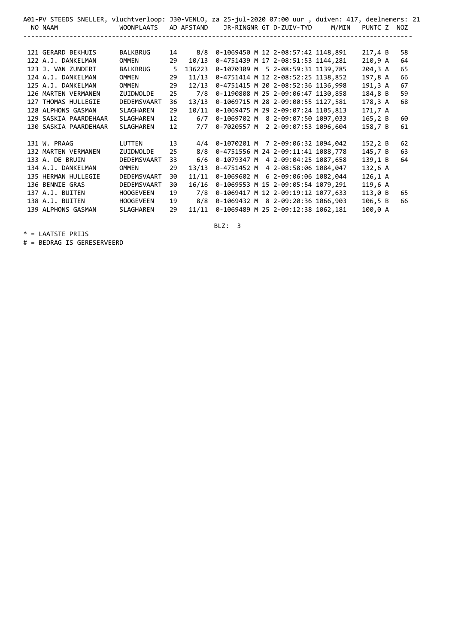| A01-PV STEEDS SNELLER, vluchtverloop: J30-VENLO, za 25-jul-2020 07:00 uur , duiven: 417, deelnemers: 21 |                  |                 |            |                                       |                                    |       |                      |    |
|---------------------------------------------------------------------------------------------------------|------------------|-----------------|------------|---------------------------------------|------------------------------------|-------|----------------------|----|
| NO NAAM                                                                                                 | WOONPLAATS       |                 | AD AFSTAND |                                       | JR-RINGNR GT D-ZUIV-TYD            | M/MIN | PUNTC Z NOZ          |    |
|                                                                                                         |                  |                 |            |                                       |                                    |       |                      |    |
| 121 GERARD BEKHUIS                                                                                      | <b>BALKBRUG</b>  | 14              | 8/8        |                                       | 0-1069450 M 12 2-08:57:42 1148,891 |       | 217,4B               | 58 |
| 122 A.J. DANKELMAN                                                                                      | OMMEN            | 29              | 10/13      |                                       | 0-4751439 M 17 2-08:51:53 1144,281 |       | 210, 9A              | 64 |
| 123 J. VAN ZUNDERT                                                                                      | <b>BALKBRUG</b>  | 5               | 136223     |                                       | 0-1070309 M 5 2-08:59:31 1139,785  |       | 204,3 A              | 65 |
| 124 A.J. DANKELMAN                                                                                      | OMMEN            | 29              | 11/13      |                                       | 0-4751414 M 12 2-08:52:25 1138,852 |       | 197,8 A              | 66 |
| 125 A.J. DANKELMAN                                                                                      | OMMEN            | 29              | 12/13      |                                       | 0-4751415 M 20 2-08:52:36 1136,998 |       | 191,3 A              | 67 |
| 126 MARTEN VERMANEN                                                                                     | ZUIDWOLDE        | 25              | 7/8        |                                       | 0-1190808 M 25 2-09:06:47 1130,858 |       | 184,8 B              | 59 |
| 127 THOMAS HULLEGIE                                                                                     | DEDEMSVAART      | 36              | 13/13      |                                       | 0-1069715 M 28 2-09:00:55 1127,581 |       | 178,3 A              | 68 |
| 128 ALPHONS GASMAN                                                                                      | <b>SLAGHAREN</b> | 29              | 10/11      |                                       | 0-1069475 M 29 2-09:07:24 1105,813 |       | 171,7 A              |    |
| 129 SASKIA PAARDEHAAR                                                                                   | SLAGHAREN        | 12              | 6/7        |                                       | 0-1069702 M 8 2-09:07:50 1097,033  |       | 165, 2 B             | 60 |
| 130 SASKIA PAARDEHAAR                                                                                   | SLAGHAREN        | 12 <sup>2</sup> | 7/7        |                                       | 0-7020557 M 2 2-09:07:53 1096,604  |       | 158,7 B              | 61 |
|                                                                                                         |                  |                 |            |                                       |                                    |       |                      |    |
| 131 W. PRAAG                                                                                            | LUTTEN           | 13              |            | 4/4 0-1070201 M 7 2-09:06:32 1094,042 |                                    |       | 152, 2B              | 62 |
| 132 MARTEN VERMANEN                                                                                     | ZUIDWOLDE        | 25              | 8/8        |                                       | 0-4751556 M 24 2-09:11:41 1088,778 |       | 145,7 B              | 63 |
| 133 A. DE BRUIN                                                                                         | DEDEMSVAART      | 33              | 6/6        |                                       | 0-1079347 M 4 2-09:04:25 1087,658  |       | 139,1 B              | 64 |
| 134 A.J. DANKELMAN                                                                                      | <b>OMMEN</b>     | 29              | 13/13      |                                       | 0-4751452 M 4 2-08:58:06 1084,047  |       | 132,6A               |    |
| 135 HERMAN HULLEGIE                                                                                     | DEDEMSVAART      | 30              | 11/11      |                                       | 0-1069602 M 6 2-09:06:06 1082,044  |       | $126, 1 \, \text{A}$ |    |
| 136 BENNIE GRAS                                                                                         | DEDEMSVAART      | 30              | 16/16      |                                       | 0-1069553 M 15 2-09:05:54 1079,291 |       | 119,6 A              |    |
| 137 A.J. BUITEN                                                                                         | <b>HOOGEVEEN</b> | 19              | 7/8        |                                       | 0-1069417 M 12 2-09:19:12 1077,633 |       | 113,0B               | 65 |
| 138 A.J. BUITEN                                                                                         | <b>HOOGEVEEN</b> | 19              | 8/8        |                                       | 0-1069432 M 8 2-09:20:36 1066,903  |       | 106, 5B              | 66 |
| 139 ALPHONS GASMAN                                                                                      | SLAGHAREN        | 29              | 11/11      |                                       | 0-1069489 M 25 2-09:12:38 1062,181 |       | 100,0 A              |    |

BLZ: 3

\* = LAATSTE PRIJS

# = BEDRAG IS GERESERVEERD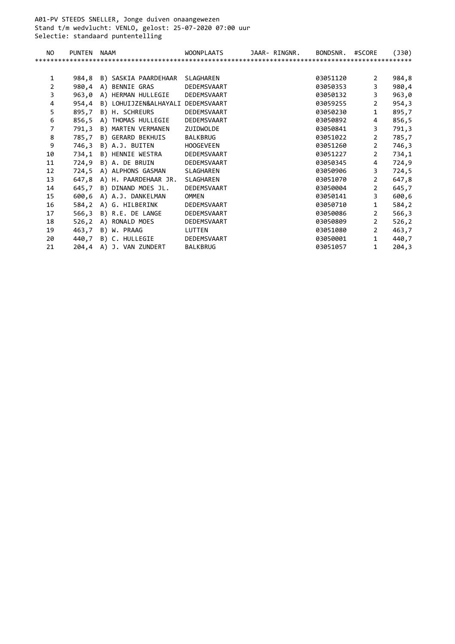A01-PV STEEDS SNELLER, Jonge duiven onaangewezen Stand t/m wedvlucht: VENLO, gelost: 25-07-2020 07:00 uur Selectie: standaard puntentelling

| NO.            | PUNTEN | <b>NAAM</b>                          | <b>WOONPLAATS</b> | JAAR- RINGNR. | BONDSNR. | #SCORE         | (J30)  |
|----------------|--------|--------------------------------------|-------------------|---------------|----------|----------------|--------|
|                |        |                                      |                   |               |          |                |        |
|                |        |                                      |                   |               |          |                |        |
| 1              | 984,8  | B) SASKIA PAARDEHAAR SLAGHAREN       |                   |               | 03051120 | $\overline{2}$ | 984,8  |
| $\overline{2}$ |        | 980,4 A) BENNIE GRAS                 | DEDEMSVAART       |               | 03050353 | $\overline{3}$ | 980,4  |
| 3              |        | 963,0 A) HERMAN HULLEGIE DEDEMSVAART |                   |               | 03050132 | $\overline{3}$ | 963,0  |
| 4              | 954,4  | B) LOHUIJZEN&ALHAYALI DEDEMSVAART    |                   |               | 03059255 | $\overline{2}$ | 954,3  |
| 5              | 895,7  | B) H. SCHREURS                       | DEDEMSVAART       |               | 03050230 | $\mathbf{1}$   | 895,7  |
| 6              | 856,5  | A) THOMAS HULLEGIE DEDEMSVAART       |                   |               | 03050892 | 4              | 856,5  |
| $\overline{7}$ | 791,3  | B) MARTEN VERMANEN ZUIDWOLDE         |                   |               | 03050841 | $\overline{3}$ | 791,3  |
| 8              | 785,7  | B) GERARD BEKHUIS                    | BALKBRUG          |               | 03051022 | $\overline{2}$ | 785,7  |
| 9              |        | 746,3 B) A.J. BUITEN                 | <b>HOOGEVEEN</b>  |               | 03051260 | $\overline{2}$ | 746,3  |
| 10             |        | 734,1 B) HENNIE WESTRA DEDEMSVAART   |                   |               | 03051227 | $\overline{2}$ | 734,1  |
| 11             |        | 724,9 B) A. DE BRUIN DEDEMSVAART     |                   |               | 03050345 | 4              | 724,9  |
| 12             |        | 724,5 A) ALPHONS GASMAN SLAGHAREN    |                   |               | 03050906 | $\overline{3}$ | 724,5  |
| 13             |        | 647,8 A) H. PAARDEHAAR JR.           | SLAGHAREN         |               | 03051070 | $\overline{2}$ | 647,8  |
| 14             | 645,7  | B) DINAND MOES JL.                   | DEDEMSVAART       |               | 03050004 | $\overline{2}$ | 645,7  |
| 15             | 600,6  | A) A.J. DANKELMAN                    | OMMEN             |               | 03050141 | $\overline{3}$ | 600,6  |
| 16             |        | 584,2 A) G. HILBERINK DEDEMSVAART    |                   |               | 03050710 | $\mathbf{1}$   | 584,2  |
| 17             |        | 566,3 B) R.E. DE LANGE               | DEDEMSVAART       |               | 03050086 | $\overline{2}$ | 566,3  |
| 18             |        | 526,2 A) RONALD MOES                 | DEDEMSVAART       |               | 03050809 | $\overline{2}$ | 526, 2 |
| 19             |        | 463,7 B) W. PRAAG                    | LUTTEN            |               | 03051080 | $\overline{2}$ | 463,7  |
| 20             |        | 440,7 B) C. HULLEGIE                 | DEDEMSVAART       |               | 03050001 | $\mathbf{1}$   | 440,7  |
| 21             |        | 204,4 A) J. VAN ZUNDERT              | BALKBRUG          |               | 03051057 | $\mathbf{1}$   | 204,3  |
|                |        |                                      |                   |               |          |                |        |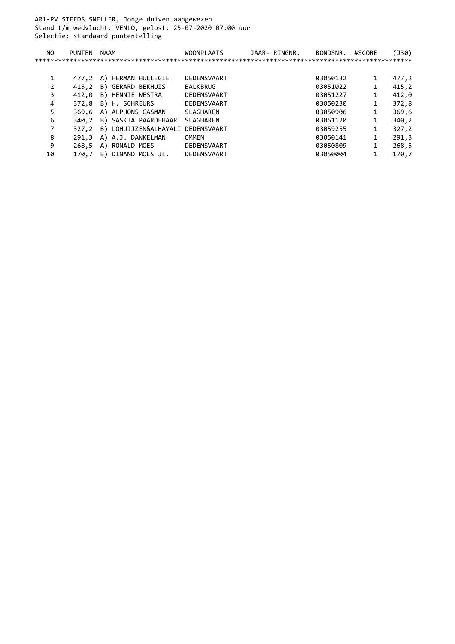A01-PV STEEDS SNELLER, Jonge duiven aangewezen Stand t/m wedvlucht: VENLO, gelost: 25-07-2020 07:00 uur Selectie: standaard puntentelling

| NO. | PUNTEN | NAAM                              | <b>WOONPLAATS</b> | JAAR- RINGNR. | BONDSNR. | #SCORE | (J30) |
|-----|--------|-----------------------------------|-------------------|---------------|----------|--------|-------|
|     |        |                                   |                   |               |          |        |       |
|     |        |                                   |                   |               |          |        |       |
|     | 477.2  | A) HERMAN HULLEGIE                | DEDEMSVAART       |               | 03050132 | 1      | 477,2 |
|     | 415.2  | B) GERARD BEKHUIS                 | BALKBRUG          |               | 03051022 | 1      | 415,2 |
| 3   | 412.0  | B) HENNIE WESTRA                  | DEDEMSVAART       |               | 03051227 | 1      | 412,0 |
| 4   | 372,8  | B) H. SCHREURS                    | DEDEMSVAART       |               | 03050230 | 1      | 372,8 |
| 5   | 369.6  | A) ALPHONS GASMAN                 | SLAGHAREN         |               | 03050906 | 1      | 369,6 |
| 6   | 340.2  | B) SASKIA PAARDEHAAR              | SLAGHAREN         |               | 03051120 | 1      | 340,2 |
| 7   | 327.2  | B) LOHUIJZEN&ALHAYALI DEDEMSVAART |                   |               | 03059255 | 1      | 327,2 |
| 8   | 291.3  | A) A.J. DANKELMAN                 | OMMEN             |               | 03050141 | 1      | 291,3 |
| 9   | 268.5  | A) RONALD MOES                    | DEDEMSVAART       |               | 03050809 | 1      | 268,5 |
| 10  | 170.7  | DINAND MOES JL.<br>B)             | DEDEMSVAART       |               | 03050004 |        | 170,7 |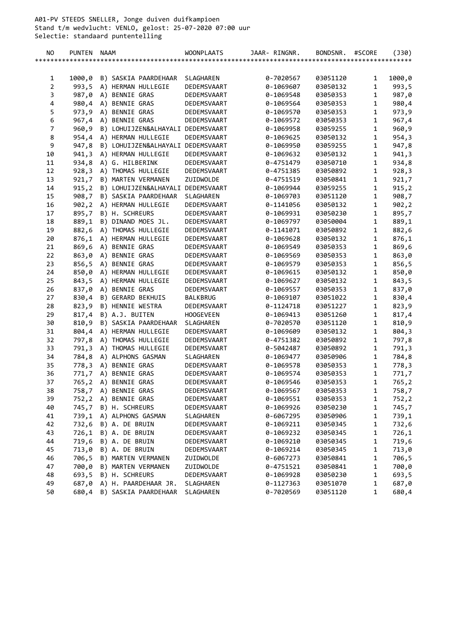A01-PV STEEDS SNELLER, Jonge duiven duifkampioen Stand t/m wedvlucht: VENLO, gelost: 25-07-2020 07:00 uur Selectie: standaard puntentelling

| NO                           | <b>PUNTEN</b> | <b>NAAM</b> |                                                               | <b>WOONPLAATS</b>          | JAAR- RINGNR.          | BONDSNR.             | #SCORE                       | $($ 30)         |
|------------------------------|---------------|-------------|---------------------------------------------------------------|----------------------------|------------------------|----------------------|------------------------------|-----------------|
|                              |               |             |                                                               |                            |                        |                      |                              |                 |
|                              |               |             |                                                               |                            |                        |                      |                              |                 |
| 1                            | 1000,0        |             | B) SASKIA PAARDEHAAR                                          | SLAGHAREN                  | 0-7020567              | 03051120             | 1                            | 1000,0          |
| $\overline{2}$               | 993,5         |             | A) HERMAN HULLEGIE                                            | DEDEMSVAART                | 0-1069607              | 03050132             | $\mathbf{1}$                 | 993,5           |
| 3<br>$\overline{\mathbf{4}}$ |               |             | 987,0 A) BENNIE GRAS<br>980,4 A) BENNIE GRAS                  | DEDEMSVAART                | 0-1069548              | 03050353             | $\mathbf{1}$<br>$\mathbf{1}$ | 987,0           |
| 5                            |               |             |                                                               | DEDEMSVAART                | 0-1069564              | 03050353             | $\mathbf{1}$                 | 980,4           |
| 6                            | 973,9         |             | A) BENNIE GRAS<br>967,4 A) BENNIE GRAS                        | DEDEMSVAART<br>DEDEMSVAART | 0-1069570<br>0-1069572 | 03050353             | $\mathbf{1}$                 | 973,9           |
| $\overline{7}$               |               |             | B) LOHUIJZEN&ALHAYALI DEDEMSVAART                             |                            |                        | 03050353<br>03059255 | $\mathbf{1}$                 | 967,4           |
| 8                            | 960,9         |             |                                                               | DEDEMSVAART                | 0-1069958<br>0-1069625 | 03050132             | $\mathbf{1}$                 | 960,9<br>954,3  |
| 9                            | 947,8         |             | 954,4 A) HERMAN HULLEGIE<br>B) LOHUIJZEN&ALHAYALI DEDEMSVAART |                            | 0-1069950              | 03059255             | $\mathbf{1}$                 | 947,8           |
| 10                           |               |             | 941,3 A) HERMAN HULLEGIE                                      | DEDEMSVAART                | 0-1069632              | 03050132             | $\mathbf{1}$                 | 941,3           |
| 11                           |               |             | 934,8 A) G. HILBERINK                                         | DEDEMSVAART                | 0-4751479              | 03050710             | $\mathbf{1}$                 | 934,8           |
| 12                           |               |             | 928,3 A) THOMAS HULLEGIE                                      | DEDEMSVAART                | 0-4751385              | 03050892             | $\mathbf{1}$                 | 928,3           |
| 13                           | 921,7         |             | B) MARTEN VERMANEN                                            | ZUIDWOLDE                  | 0-4751519              | 03050841             | $\mathbf{1}$                 |                 |
| 14                           |               |             | 915,2 B) LOHUIJZEN&ALHAYALI DEDEMSVAART                       |                            | 0-1069944              | 03059255             | $\mathbf{1}$                 | 921,7<br>915, 2 |
| 15                           | 908,7         |             | B) SASKIA PAARDEHAAR                                          | SLAGHAREN                  | 0-1069703              | 03051120             | $\mathbf{1}$                 | 908,7           |
| 16                           |               |             | 902,2 A) HERMAN HULLEGIE                                      | DEDEMSVAART                | 0-1141056              | 03050132             | $\mathbf{1}$                 | 902,2           |
| 17                           | 895,7         |             | B) H. SCHREURS                                                | DEDEMSVAART                | 0-1069931              | 03050230             | $\mathbf{1}$                 | 895,7           |
| 18                           |               |             | 889,1 B) DINAND MOES JL.                                      | DEDEMSVAART                | 0-1069797              | 03050004             | $\mathbf{1}$                 | 889,1           |
| 19                           |               |             | 882,6 A) THOMAS HULLEGIE                                      | DEDEMSVAART                | 0-1141071              | 03050892             | $\mathbf{1}$                 | 882,6           |
| 20                           |               |             | 876,1 A) HERMAN HULLEGIE                                      | DEDEMSVAART                | 0-1069628              | 03050132             | $\mathbf{1}$                 | 876,1           |
| 21                           | 869,6         |             | A) BENNIE GRAS                                                | DEDEMSVAART                | 0-1069549              | 03050353             | $\mathbf{1}$                 | 869,6           |
| 22                           |               |             | 863,0 A) BENNIE GRAS                                          | DEDEMSVAART                | 0-1069569              | 03050353             | $\mathbf{1}$                 | 863,0           |
| 23                           |               |             | 856,5 A) BENNIE GRAS                                          | DEDEMSVAART                | 0-1069579              | 03050353             | $\mathbf{1}$                 | 856,5           |
| 24                           |               |             | 850,0 A) HERMAN HULLEGIE                                      | DEDEMSVAART                | 0-1069615              | 03050132             | $\mathbf{1}$                 | 850,0           |
| 25                           |               |             | 843,5 A) HERMAN HULLEGIE                                      | DEDEMSVAART                | 0-1069627              | 03050132             | $\mathbf 1$                  | 843,5           |
| 26                           |               |             | 837,0 A) BENNIE GRAS                                          | DEDEMSVAART                | 0-1069557              | 03050353             | $\mathbf{1}$                 | 837,0           |
| 27                           |               |             | 830,4 B) GERARD BEKHUIS                                       | BALKBRUG                   | 0-1069107              | 03051022             | $\mathbf{1}$                 | 830,4           |
| 28                           |               |             | 823,9 B) HENNIE WESTRA                                        | DEDEMSVAART                | 0-1124718              | 03051227             | $\mathbf{1}$                 | 823,9           |
| 29                           |               |             | 817,4 B) A.J. BUITEN                                          | <b>HOOGEVEEN</b>           | 0-1069413              | 03051260             | $\mathbf{1}$                 | 817,4           |
| 30                           | 810,9         |             | B) SASKIA PAARDEHAAR                                          | SLAGHAREN                  | 0-7020570              | 03051120             | $\mathbf{1}$                 | 810,9           |
| 31                           |               |             | 804,4 A) HERMAN HULLEGIE                                      | DEDEMSVAART                | 0-1069609              | 03050132             | $\mathbf{1}$                 | 804,3           |
| 32                           | 797,8         |             | A) THOMAS HULLEGIE                                            | DEDEMSVAART                | 0-4751382              | 03050892             | $\mathbf{1}$                 | 797,8           |
| 33                           |               |             | 791,3 A) THOMAS HULLEGIE                                      | DEDEMSVAART                | 0-5042487              | 03050892             | $\mathbf{1}$                 | 791,3           |
| 34                           |               |             | 784,8 A) ALPHONS GASMAN                                       | SLAGHAREN                  | 0-1069477              | 03050906             | $\mathbf{1}$                 | 784,8           |
| 35                           |               |             | 778,3 A) BENNIE GRAS                                          | DEDEMSVAART                | 0-1069578              | 03050353             | $\mathbf{1}$                 | 778,3           |
| 36                           |               |             | 771,7 A) BENNIE GRAS                                          | DEDEMSVAART                | 0-1069574              | 03050353             | $\mathbf{1}$                 | 771,7           |
| 37                           |               |             | 765,2 A) BENNIE GRAS                                          | DEDEMSVAART                | 0-1069546              | 03050353             | $\mathbf{1}$                 | 765,2           |
| 38                           |               |             | 758,7 A) BENNIE GRAS                                          | DEDEMSVAART                | 0-1069567              | 03050353             | 1                            | 758,7           |
| 39                           | 752,2         |             | A) BENNIE GRAS                                                | DEDEMSVAART                | 0-1069551              | 03050353             | 1                            | 752,2           |
| 40                           |               |             | 745,7 B) H. SCHREURS                                          | DEDEMSVAART                | 0-1069926              | 03050230             | $\mathbf{1}$                 | 745,7           |
| 41                           | 739,1         |             | A) ALPHONS GASMAN                                             | SLAGHAREN                  | 0-6067295              | 03050906             | $\mathbf{1}$                 | 739,1           |
| 42                           |               |             | 732,6 B) A. DE BRUIN                                          | DEDEMSVAART                | 0-1069211              | 03050345             | $\mathbf{1}$                 | 732,6           |
| 43                           | 726,1         |             | B) A. DE BRUIN                                                | DEDEMSVAART                | 0-1069232              | 03050345             | $\mathbf{1}$                 | 726,1           |
| 44                           | 719,6         |             | B) A. DE BRUIN                                                | DEDEMSVAART                | 0-1069210              | 03050345             | $\mathbf 1$                  | 719,6           |
| 45                           | 713,0         |             | B) A. DE BRUIN                                                | DEDEMSVAART                | 0-1069214              | 03050345             | $\mathbf{1}$                 | 713,0           |
| 46                           | 706,5         |             | B) MARTEN VERMANEN                                            | ZUIDWOLDE                  | 0-6067273              | 03050841             | $\mathbf{1}$                 | 706,5           |
| 47                           | 700,0         |             | B) MARTEN VERMANEN                                            | ZUIDWOLDE                  | 0-4751521              | 03050841             | $\mathbf{1}$                 | 700,0           |
| 48                           | 693,5         |             | B) H. SCHREURS                                                | DEDEMSVAART                | 0-1069928              | 03050230             | $\mathbf{1}$                 | 693,5           |
| 49                           | 687,0         |             | A) H. PAARDEHAAR JR.                                          | SLAGHAREN                  | 0-1127363              | 03051070             | $\mathbf{1}$                 | 687,0           |
| 50                           | 680,4         |             | B) SASKIA PAARDEHAAR                                          | SLAGHAREN                  | 0-7020569              | 03051120             | $\mathbf{1}$                 | 680,4           |
|                              |               |             |                                                               |                            |                        |                      |                              |                 |